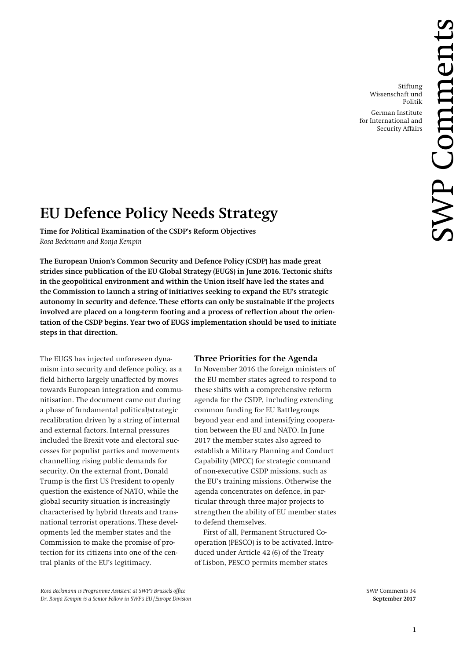Stiftung Wissenschaft und Politik

German Institute for International and Security Affairs

# **EU Defence Policy Needs Strategy**

**Time for Political Examination of the CSDP's Reform Objectives** *Rosa Beckmann and Ronja Kempin*

**The European Union's Common Security and Defence Policy (CSDP) has made great strides since publication of the EU Global Strategy (EUGS) in June 2016. Tectonic shifts in the geopolitical environment and within the Union itself have led the states and the Commission to launch a string of initiatives seeking to expand the EU's strategic autonomy in security and defence. These efforts can only be sustainable if the projects involved are placed on a long-term footing and a process of reflection about the orientation of the CSDP begins. Year two of EUGS implementation should be used to initiate steps in that direction.**

The EUGS has injected unforeseen dynamism into security and defence policy, as a field hitherto largely unaffected by moves towards European integration and communitisation. The document came out during a phase of fundamental political/strategic recalibration driven by a string of internal and external factors. Internal pressures included the Brexit vote and electoral successes for populist parties and movements channelling rising public demands for security. On the external front, Donald Trump is the first US President to openly question the existence of NATO, while the global security situation is increasingly characterised by hybrid threats and transnational terrorist operations. These developments led the member states and the Commission to make the promise of protection for its citizens into one of the central planks of the EU's legitimacy.

# **Three Priorities for the Agenda**

In November 2016 the foreign ministers of the EU member states agreed to respond to these shifts with a comprehensive reform agenda for the CSDP, including extending common funding for EU Battlegroups beyond year end and intensifying cooperation between the EU and NATO. In June 2017 the member states also agreed to establish a Military Planning and Conduct Capability (MPCC) for strategic command of non-executive CSDP missions, such as the EU's training missions. Otherwise the agenda concentrates on defence, in particular through three major projects to strengthen the ability of EU member states to defend themselves.

First of all, Permanent Structured Cooperation (PESCO) is to be activated. Introduced under Article 42 (6) of the Treaty of Lisbon, PESCO permits member states

*Rosa Beckmann is Programme Assistent at SWP's Brussels office* SWP Comments 34 *Dr. Ronja Kempin is a Senior Fellow in SWP's EU/Europe Division* **September 2017**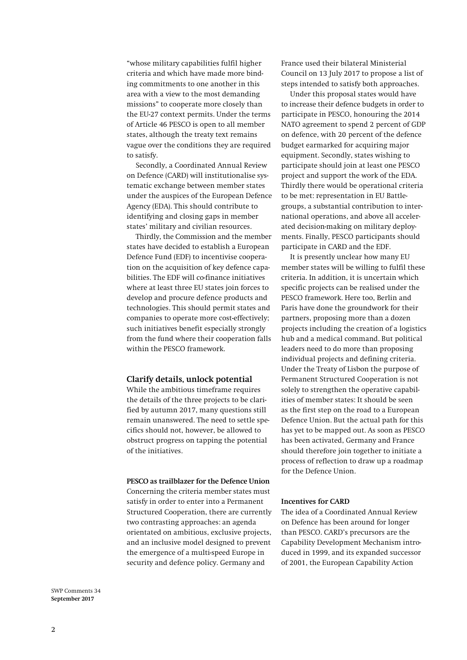"whose military capabilities fulfil higher criteria and which have made more binding commitments to one another in this area with a view to the most demanding missions" to cooperate more closely than the EU-27 context permits. Under the terms of Article 46 PESCO is open to all member states, although the treaty text remains vague over the conditions they are required to satisfy.

Secondly, a Coordinated Annual Review on Defence (CARD) will institutionalise systematic exchange between member states under the auspices of the European Defence Agency (EDA). This should contribute to identifying and closing gaps in member states' military and civilian resources.

Thirdly, the Commission and the member states have decided to establish a European Defence Fund (EDF) to incentivise cooperation on the acquisition of key defence capabilities. The EDF will co-finance initiatives where at least three EU states join forces to develop and procure defence products and technologies. This should permit states and companies to operate more cost-effectively; such initiatives benefit especially strongly from the fund where their cooperation falls within the PESCO framework.

## **Clarify details, unlock potential**

While the ambitious timeframe requires the details of the three projects to be clarified by autumn 2017, many questions still remain unanswered. The need to settle specifics should not, however, be allowed to obstruct progress on tapping the potential of the initiatives.

### **PESCO as trailblazer for the Defence Union**

Concerning the criteria member states must satisfy in order to enter into a Permanent Structured Cooperation, there are currently two contrasting approaches: an agenda orientated on ambitious, exclusive projects, and an inclusive model designed to prevent the emergence of a multi-speed Europe in security and defence policy. Germany and

France used their bilateral Ministerial Council on 13 July 2017 to propose a list of steps intended to satisfy both approaches.

Under this proposal states would have to increase their defence budgets in order to participate in PESCO, honouring the 2014 NATO agreement to spend 2 percent of GDP on defence, with 20 percent of the defence budget earmarked for acquiring major equipment. Secondly, states wishing to participate should join at least one PESCO project and support the work of the EDA. Thirdly there would be operational criteria to be met: representation in EU Battlegroups, a substantial contribution to international operations, and above all accelerated decision-making on military deployments. Finally, PESCO participants should participate in CARD and the EDF.

It is presently unclear how many EU member states will be willing to fulfil these criteria. In addition, it is uncertain which specific projects can be realised under the PESCO framework. Here too, Berlin and Paris have done the groundwork for their partners, proposing more than a dozen projects including the creation of a logistics hub and a medical command. But political leaders need to do more than proposing individual projects and defining criteria. Under the Treaty of Lisbon the purpose of Permanent Structured Cooperation is not solely to strengthen the operative capabilities of member states: It should be seen as the first step on the road to a European Defence Union. But the actual path for this has yet to be mapped out. As soon as PESCO has been activated, Germany and France should therefore join together to initiate a process of reflection to draw up a roadmap for the Defence Union.

# **Incentives for CARD**

The idea of a Coordinated Annual Review on Defence has been around for longer than PESCO. CARD's precursors are the Capability Development Mechanism introduced in 1999, and its expanded successor of 2001, the European Capability Action

SWP Comments 34 **September 2017**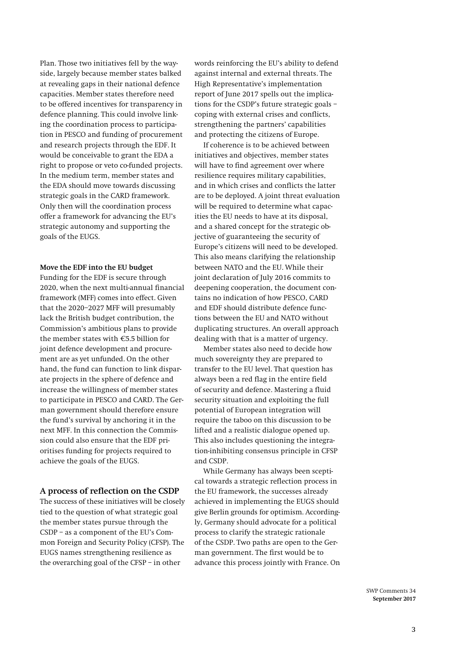Plan. Those two initiatives fell by the wayside, largely because member states balked at revealing gaps in their national defence capacities. Member states therefore need to be offered incentives for transparency in defence planning. This could involve linking the coordination process to participation in PESCO and funding of procurement and research projects through the EDF. It would be conceivable to grant the EDA a right to propose or veto co-funded projects. In the medium term, member states and the EDA should move towards discussing strategic goals in the CARD framework. Only then will the coordination process offer a framework for advancing the EU's strategic autonomy and supporting the goals of the EUGS.

## **Move the EDF into the EU budget**

Funding for the EDF is secure through 2020, when the next multi-annual financial framework (MFF) comes into effect. Given that the 2020–2027 MFF will presumably lack the British budget contribution, the Commission's ambitious plans to provide the member states with €5.5 billion for joint defence development and procurement are as yet unfunded. On the other hand, the fund can function to link disparate projects in the sphere of defence and increase the willingness of member states to participate in PESCO and CARD. The German government should therefore ensure the fund's survival by anchoring it in the next MFF. In this connection the Commission could also ensure that the EDF prioritises funding for projects required to achieve the goals of the EUGS.

## **A process of reflection on the CSDP**

The success of these initiatives will be closely tied to the question of what strategic goal the member states pursue through the CSDP – as a component of the EU's Common Foreign and Security Policy (CFSP). The EUGS names strengthening resilience as the overarching goal of the CFSP – in other

words reinforcing the EU's ability to defend against internal and external threats. The High Representative's implementation report of June 2017 spells out the implications for the CSDP's future strategic goals – coping with external crises and conflicts, strengthening the partners' capabilities and protecting the citizens of Europe.

If coherence is to be achieved between initiatives and objectives, member states will have to find agreement over where resilience requires military capabilities, and in which crises and conflicts the latter are to be deployed. A joint threat evaluation will be required to determine what capacities the EU needs to have at its disposal, and a shared concept for the strategic objective of guaranteeing the security of Europe's citizens will need to be developed. This also means clarifying the relationship between NATO and the EU. While their joint declaration of July 2016 commits to deepening cooperation, the document contains no indication of how PESCO, CARD and EDF should distribute defence functions between the EU and NATO without duplicating structures. An overall approach dealing with that is a matter of urgency.

Member states also need to decide how much sovereignty they are prepared to transfer to the EU level. That question has always been a red flag in the entire field of security and defence. Mastering a fluid security situation and exploiting the full potential of European integration will require the taboo on this discussion to be lifted and a realistic dialogue opened up. This also includes questioning the integration-inhibiting consensus principle in CFSP and CSDP.

While Germany has always been sceptical towards a strategic reflection process in the EU framework, the successes already achieved in implementing the EUGS should give Berlin grounds for optimism. Accordingly, Germany should advocate for a political process to clarify the strategic rationale of the CSDP. Two paths are open to the German government. The first would be to advance this process jointly with France. On

> SWP Comments 34 **September 2017**